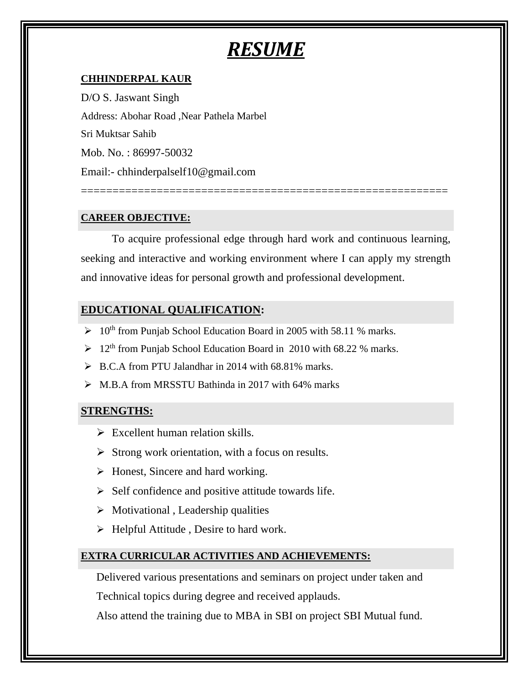# *RESUME*

#### **CHHINDERPAL KAUR**

D/O S. Jaswant Singh Address: Abohar Road ,Near Pathela Marbel Sri Muktsar Sahib Mob. No. : 86997-50032 Email:- chhinderpalself10@gmail.com

#### **CAREER OBJECTIVE:**

To acquire professional edge through hard work and continuous learning, seeking and interactive and working environment where I can apply my strength and innovative ideas for personal growth and professional development.

==========================================================

### **EDUCATIONAL QUALIFICATION:**

- $> 10<sup>th</sup>$  from Punjab School Education Board in 2005 with 58.11 % marks.
- $> 12<sup>th</sup>$  from Punjab School Education Board in 2010 with 68.22 % marks.
- $\triangleright$  B.C.A from PTU Jalandhar in 2014 with 68.81% marks.
- ➢ M.B.A from MRSSTU Bathinda in 2017 with 64% marks

#### **STRENGTHS:**

- $\triangleright$  Excellent human relation skills.
- $\triangleright$  Strong work orientation, with a focus on results.
- ➢ Honest, Sincere and hard working.
- ➢ Self confidence and positive attitude towards life.
- $\triangleright$  Motivational, Leadership qualities
- ➢ Helpful Attitude , Desire to hard work.

#### **EXTRA CURRICULAR ACTIVITIES AND ACHIEVEMENTS:**

Delivered various presentations and seminars on project under taken and

Technical topics during degree and received applauds.

Also attend the training due to MBA in SBI on project SBI Mutual fund.